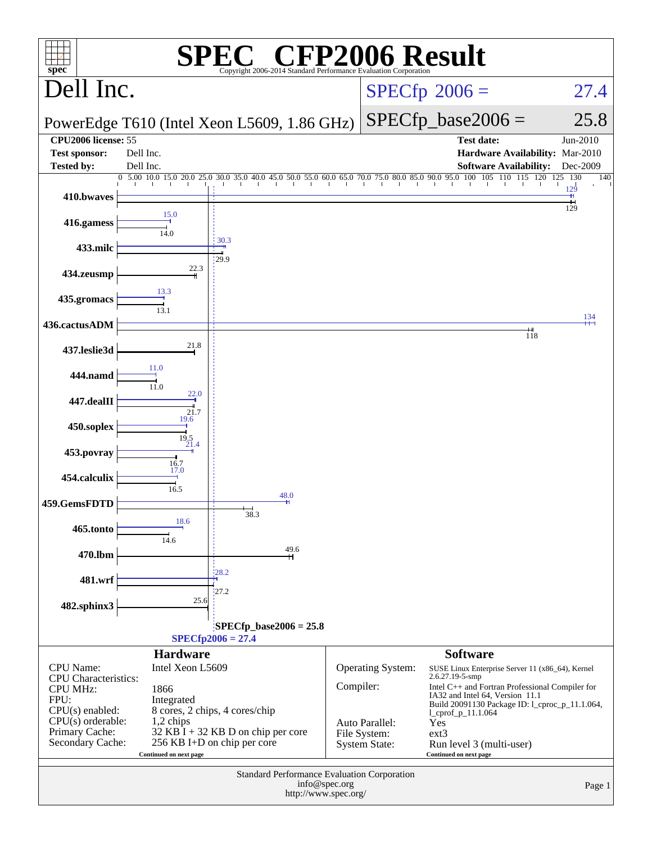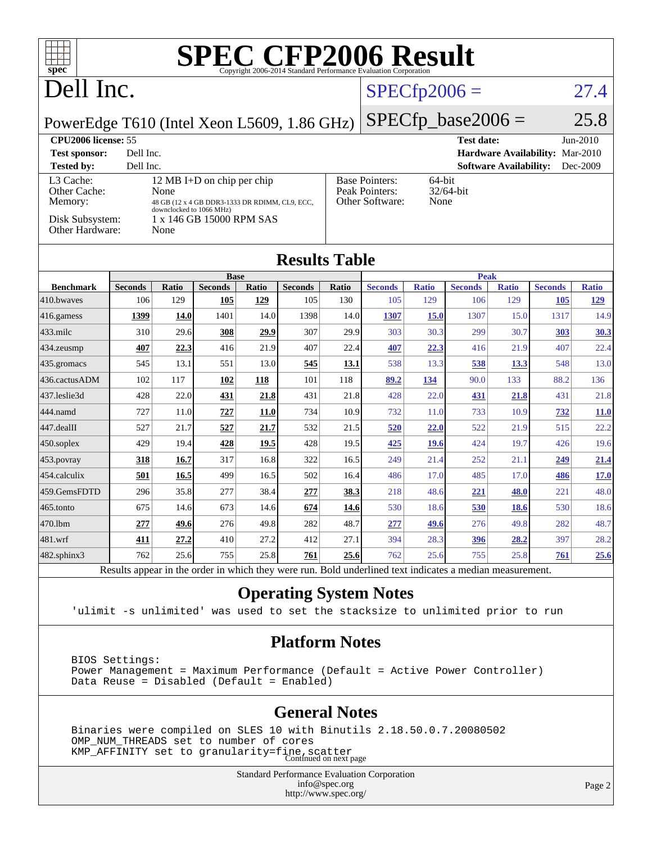| <b>SPEC CFP2006 Result</b><br>$spec^*$<br>Copyright 2006-2014 Standard Performance Evaluation Corporation |                       |                          |                                                |              |                       |                        |                                                        |                     |                       |                               |                       |                     |
|-----------------------------------------------------------------------------------------------------------|-----------------------|--------------------------|------------------------------------------------|--------------|-----------------------|------------------------|--------------------------------------------------------|---------------------|-----------------------|-------------------------------|-----------------------|---------------------|
| Dell Inc.                                                                                                 |                       |                          |                                                |              |                       | $SPECfp2006 =$<br>27.4 |                                                        |                     |                       |                               |                       |                     |
| $SPECfp\_base2006 =$<br>PowerEdge T610 (Intel Xeon L5609, 1.86 GHz)                                       |                       |                          |                                                |              |                       | 25.8                   |                                                        |                     |                       |                               |                       |                     |
| <b>CPU2006</b> license: 55                                                                                |                       |                          |                                                |              |                       |                        |                                                        | <b>Test date:</b>   |                       |                               | $Jun-2010$            |                     |
| Dell Inc.<br>Hardware Availability: Mar-2010<br><b>Test sponsor:</b>                                      |                       |                          |                                                |              |                       |                        |                                                        |                     |                       |                               |                       |                     |
| <b>Tested by:</b>                                                                                         | Dell Inc.             |                          |                                                |              |                       |                        |                                                        |                     |                       | <b>Software Availability:</b> |                       | Dec-2009            |
| L3 Cache:                                                                                                 |                       |                          | 12 MB I+D on chip per chip                     |              |                       |                        | <b>Base Pointers:</b><br>64-bit                        |                     |                       |                               |                       |                     |
| Other Cache:<br>Memory:                                                                                   |                       | None                     | 48 GB (12 x 4 GB DDR3-1333 DR RDIMM, CL9, ECC, |              |                       |                        | Peak Pointers:<br>32/64-bit<br>Other Software:<br>None |                     |                       |                               |                       |                     |
|                                                                                                           |                       | downclocked to 1066 MHz) |                                                |              |                       |                        |                                                        |                     |                       |                               |                       |                     |
| Disk Subsystem:<br>Other Hardware:                                                                        |                       | None                     | 1 x 146 GB 15000 RPM SAS                       |              |                       |                        |                                                        |                     |                       |                               |                       |                     |
|                                                                                                           |                       |                          |                                                |              |                       |                        |                                                        |                     |                       |                               |                       |                     |
| <b>Results Table</b>                                                                                      |                       |                          |                                                |              |                       |                        |                                                        |                     |                       |                               |                       |                     |
|                                                                                                           |                       |                          | <b>Base</b>                                    |              |                       |                        |                                                        |                     | Peak                  |                               |                       |                     |
| <b>Benchmark</b><br>410.bwayes                                                                            | <b>Seconds</b><br>106 | Ratio<br>129             | <b>Seconds</b><br>105                          | Ratio<br>129 | <b>Seconds</b><br>105 | Ratio<br>130           | <b>Seconds</b><br>105                                  | <b>Ratio</b><br>129 | <b>Seconds</b><br>106 | <b>Ratio</b><br>129           | <b>Seconds</b><br>105 | <b>Ratio</b><br>129 |
|                                                                                                           |                       |                          | 1401                                           | 14.0         |                       | 14.0                   |                                                        |                     | 1307                  |                               | 1317                  | 14.9                |
| 416.gamess                                                                                                | 1399                  | <b>14.0</b>              |                                                |              | 1398                  |                        | 1307                                                   | 15.0                |                       | 15.0                          |                       |                     |
| $433$ .milc                                                                                               | 310                   | 29.6                     | 308                                            | 29.9         | 307                   | 29.9                   | 303                                                    | 30.3                | 299                   | 30.7                          | 303                   | 30.3                |
| 434.zeusmp                                                                                                | 407                   | 22.3                     | 416                                            | 21.9         | 407                   | 22.4                   | 407                                                    | 22.3                | 416                   | 21.9                          | 407                   | 22.4                |
| 435.gromacs                                                                                               | 545                   | 13.1                     | 551                                            | 13.0         | 545                   | 13.1                   | 538                                                    | 13.3                | 538                   | 13.3                          | 548                   | 13.0                |
| 436.cactusADM                                                                                             | 102                   | 117                      | 102                                            | 118          | 101                   | 118                    | 89.2                                                   | 134                 | 90.0                  | 133                           | 88.2                  | 136                 |
| 437.leslie3d                                                                                              | 428                   | 22.0                     | 431                                            | 21.8         | 431                   | 21.8                   | 428                                                    | 22.0                | 431                   | 21.8                          | 431                   | 21.8                |
| 444.namd                                                                                                  | 727                   | 11.0                     | 727                                            | <b>11.0</b>  | 734                   | 10.9                   | 732                                                    | 11.0                | 733                   | 10.9                          | 732                   | <b>11.0</b>         |
| 447.dealII                                                                                                | 527                   | 21.7                     | 527                                            | 21.7         | 532                   | 21.5                   | 520                                                    | 22.0                | 522                   | 21.9                          | 515                   | 22.2                |
| 450.soplex                                                                                                | 429                   | 19.4                     | 428                                            | 19.5         | 428                   | 19.5                   | 425                                                    | 19.6                | 424                   | 19.7                          | 426                   | 19.6                |
| 453.povray                                                                                                | 318                   | 16.7                     | 317                                            | 16.8         | 322                   | 16.5                   | 249                                                    | 21.4                | 252                   | 21.1                          | 249                   | 21.4                |
| 454.calculix                                                                                              | 501                   | 16.5                     | 499                                            | 16.5         | 502                   | 16.4                   | 486                                                    | 17.0                | 485                   | 17.0                          | 486                   | <b>17.0</b>         |
| 459.GemsFDTD                                                                                              | 296                   | 35.8                     | 277                                            | 38.4         | 277                   | 38.3                   | 218                                                    | 48.6                | 221                   | 48.0                          | 221                   | 48.0                |
| 465.tonto                                                                                                 | 675                   | 14.6                     | 673                                            | 14.6         | 674                   | 14.6                   | 530                                                    | 18.6                | 530                   | <b>18.6</b>                   | 530                   | 18.6                |
| 470.1bm                                                                                                   | 277                   | 49.6                     | 276                                            | 49.8         | 282                   | 48.7                   | 277                                                    | 49.6                | 276                   | 49.8                          | 282                   | 48.7                |
| 481.wrf                                                                                                   | 411                   | 27.2                     | 410                                            | 27.2         | 412                   | 27.1                   | 394                                                    | 28.3                | 396                   | 28.2                          | 397                   | 28.2                |
| 482.sphinx3                                                                                               | 762                   | 25.6                     | 755                                            | 25.8         | 761                   | 25.6                   | 762                                                    | 25.6                | 755                   | 25.8                          | 761                   | 25.6                |

Results appear in the [order in which they were run.](http://www.spec.org/auto/cpu2006/Docs/result-fields.html#RunOrder) Bold underlined text [indicates a median measurement.](http://www.spec.org/auto/cpu2006/Docs/result-fields.html#Median)

#### **[Operating System Notes](http://www.spec.org/auto/cpu2006/Docs/result-fields.html#OperatingSystemNotes)**

'ulimit -s unlimited' was used to set the stacksize to unlimited prior to run

#### **[Platform Notes](http://www.spec.org/auto/cpu2006/Docs/result-fields.html#PlatformNotes)**

 BIOS Settings: Power Management = Maximum Performance (Default = Active Power Controller) Data Reuse = Disabled (Default = Enabled)

#### **[General Notes](http://www.spec.org/auto/cpu2006/Docs/result-fields.html#GeneralNotes)**

 Binaries were compiled on SLES 10 with Binutils 2.18.50.0.7.20080502 OMP\_NUM\_THREADS set to number of cores KMP\_AFFINITY set to granularity=fine, scatter<br>Continued on next page

> Standard Performance Evaluation Corporation [info@spec.org](mailto:info@spec.org) <http://www.spec.org/>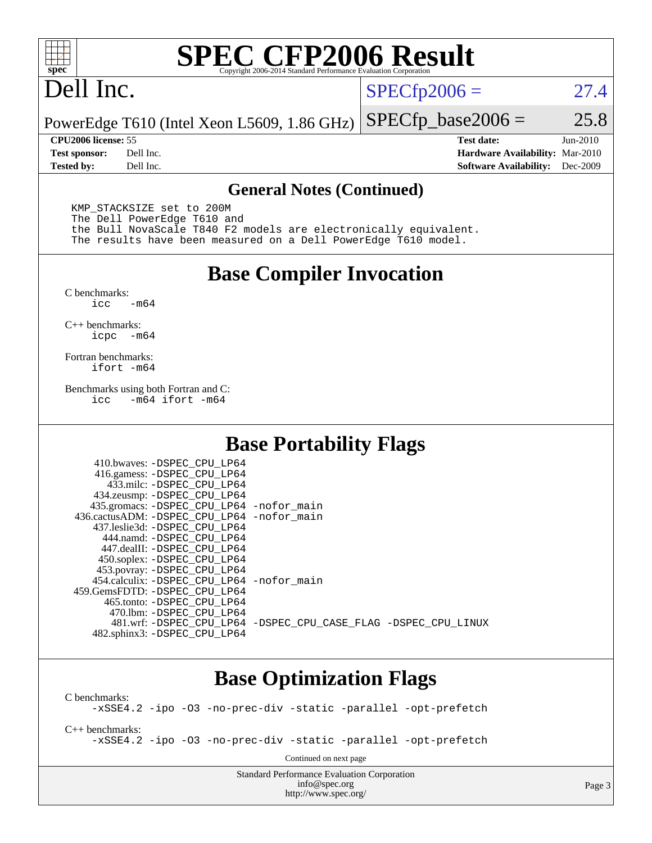

# **[SPEC CFP2006 Result](http://www.spec.org/auto/cpu2006/Docs/result-fields.html#SPECCFP2006Result)**

# Dell Inc.

 $SPECTp2006 = 27.4$ 

PowerEdge T610 (Intel Xeon L5609, 1.86 GHz)  $SPECTp\_base2006 = 25.8$ 

**[CPU2006 license:](http://www.spec.org/auto/cpu2006/Docs/result-fields.html#CPU2006license)** 55 **[Test date:](http://www.spec.org/auto/cpu2006/Docs/result-fields.html#Testdate)** Jun-2010 **[Test sponsor:](http://www.spec.org/auto/cpu2006/Docs/result-fields.html#Testsponsor)** Dell Inc. **[Hardware Availability:](http://www.spec.org/auto/cpu2006/Docs/result-fields.html#HardwareAvailability)** Mar-2010 **[Tested by:](http://www.spec.org/auto/cpu2006/Docs/result-fields.html#Testedby)** Dell Inc. **[Software Availability:](http://www.spec.org/auto/cpu2006/Docs/result-fields.html#SoftwareAvailability)** Dec-2009

#### **[General Notes \(Continued\)](http://www.spec.org/auto/cpu2006/Docs/result-fields.html#GeneralNotes)**

 KMP\_STACKSIZE set to 200M The Dell PowerEdge T610 and the Bull NovaScale T840 F2 models are electronically equivalent. The results have been measured on a Dell PowerEdge T610 model.

#### **[Base Compiler Invocation](http://www.spec.org/auto/cpu2006/Docs/result-fields.html#BaseCompilerInvocation)**

 $C$  benchmarks:<br>icc  $-m64$ 

[C++ benchmarks:](http://www.spec.org/auto/cpu2006/Docs/result-fields.html#CXXbenchmarks) [icpc -m64](http://www.spec.org/cpu2006/results/res2010q3/cpu2006-20100702-12148.flags.html#user_CXXbase_intel_icpc_64bit_bedb90c1146cab66620883ef4f41a67e)

[Fortran benchmarks](http://www.spec.org/auto/cpu2006/Docs/result-fields.html#Fortranbenchmarks): [ifort -m64](http://www.spec.org/cpu2006/results/res2010q3/cpu2006-20100702-12148.flags.html#user_FCbase_intel_ifort_64bit_ee9d0fb25645d0210d97eb0527dcc06e)

[Benchmarks using both Fortran and C](http://www.spec.org/auto/cpu2006/Docs/result-fields.html#BenchmarksusingbothFortranandC): [icc -m64](http://www.spec.org/cpu2006/results/res2010q3/cpu2006-20100702-12148.flags.html#user_CC_FCbase_intel_icc_64bit_0b7121f5ab7cfabee23d88897260401c) [ifort -m64](http://www.spec.org/cpu2006/results/res2010q3/cpu2006-20100702-12148.flags.html#user_CC_FCbase_intel_ifort_64bit_ee9d0fb25645d0210d97eb0527dcc06e)

#### **[Base Portability Flags](http://www.spec.org/auto/cpu2006/Docs/result-fields.html#BasePortabilityFlags)**

| 410.bwaves: -DSPEC CPU LP64                                    |  |
|----------------------------------------------------------------|--|
| 416.gamess: - DSPEC_CPU_LP64                                   |  |
| 433.milc: -DSPEC CPU LP64                                      |  |
| 434.zeusmp: -DSPEC_CPU_LP64                                    |  |
| 435.gromacs: -DSPEC_CPU_LP64 -nofor_main                       |  |
| 436.cactusADM: - DSPEC CPU LP64 - nofor main                   |  |
| 437.leslie3d: -DSPEC CPU LP64                                  |  |
| 444.namd: -DSPEC CPU LP64                                      |  |
| 447.dealII: -DSPEC_CPU LP64                                    |  |
| 450.soplex: -DSPEC_CPU_LP64                                    |  |
| 453.povray: -DSPEC_CPU_LP64                                    |  |
| 454.calculix: -DSPEC CPU LP64 -nofor main                      |  |
| 459. GemsFDTD: - DSPEC CPU LP64                                |  |
| 465.tonto: - DSPEC CPU LP64                                    |  |
| 470.1bm: - DSPEC CPU LP64                                      |  |
| 481.wrf: -DSPEC CPU_LP64 -DSPEC_CPU_CASE_FLAG -DSPEC_CPU_LINUX |  |
| 482.sphinx3: -DSPEC_CPU_LP64                                   |  |

### **[Base Optimization Flags](http://www.spec.org/auto/cpu2006/Docs/result-fields.html#BaseOptimizationFlags)**

[C benchmarks](http://www.spec.org/auto/cpu2006/Docs/result-fields.html#Cbenchmarks): [-xSSE4.2](http://www.spec.org/cpu2006/results/res2010q3/cpu2006-20100702-12148.flags.html#user_CCbase_f-xSSE42_f91528193cf0b216347adb8b939d4107) [-ipo](http://www.spec.org/cpu2006/results/res2010q3/cpu2006-20100702-12148.flags.html#user_CCbase_f-ipo) [-O3](http://www.spec.org/cpu2006/results/res2010q3/cpu2006-20100702-12148.flags.html#user_CCbase_f-O3) [-no-prec-div](http://www.spec.org/cpu2006/results/res2010q3/cpu2006-20100702-12148.flags.html#user_CCbase_f-no-prec-div) [-static](http://www.spec.org/cpu2006/results/res2010q3/cpu2006-20100702-12148.flags.html#user_CCbase_f-static) [-parallel](http://www.spec.org/cpu2006/results/res2010q3/cpu2006-20100702-12148.flags.html#user_CCbase_f-parallel) [-opt-prefetch](http://www.spec.org/cpu2006/results/res2010q3/cpu2006-20100702-12148.flags.html#user_CCbase_f-opt-prefetch) [C++ benchmarks:](http://www.spec.org/auto/cpu2006/Docs/result-fields.html#CXXbenchmarks) [-xSSE4.2](http://www.spec.org/cpu2006/results/res2010q3/cpu2006-20100702-12148.flags.html#user_CXXbase_f-xSSE42_f91528193cf0b216347adb8b939d4107) [-ipo](http://www.spec.org/cpu2006/results/res2010q3/cpu2006-20100702-12148.flags.html#user_CXXbase_f-ipo) [-O3](http://www.spec.org/cpu2006/results/res2010q3/cpu2006-20100702-12148.flags.html#user_CXXbase_f-O3) [-no-prec-div](http://www.spec.org/cpu2006/results/res2010q3/cpu2006-20100702-12148.flags.html#user_CXXbase_f-no-prec-div) [-static](http://www.spec.org/cpu2006/results/res2010q3/cpu2006-20100702-12148.flags.html#user_CXXbase_f-static) [-parallel](http://www.spec.org/cpu2006/results/res2010q3/cpu2006-20100702-12148.flags.html#user_CXXbase_f-parallel) [-opt-prefetch](http://www.spec.org/cpu2006/results/res2010q3/cpu2006-20100702-12148.flags.html#user_CXXbase_f-opt-prefetch) Continued on next page

> Standard Performance Evaluation Corporation [info@spec.org](mailto:info@spec.org) <http://www.spec.org/>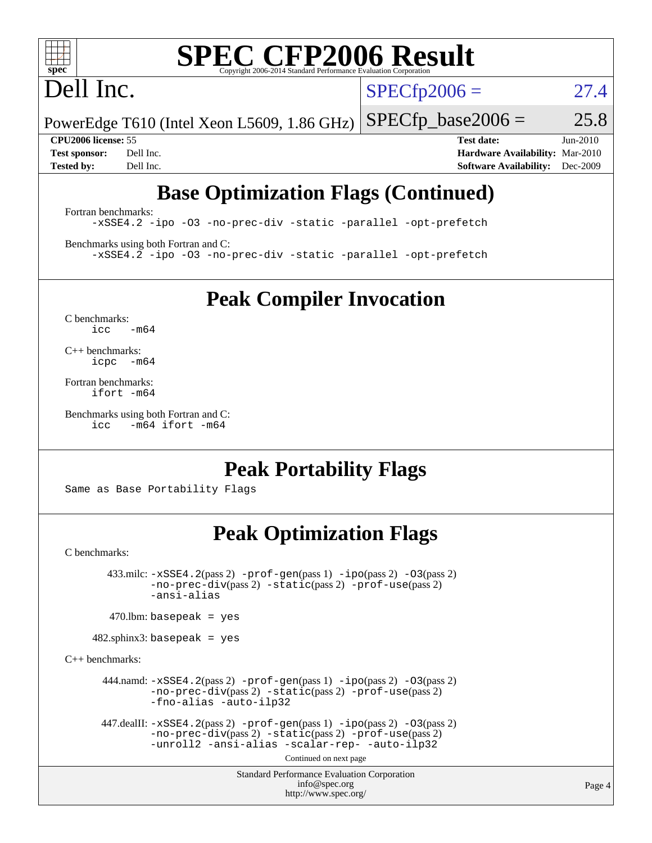

# **[SPEC CFP2006 Result](http://www.spec.org/auto/cpu2006/Docs/result-fields.html#SPECCFP2006Result)**

# Dell Inc.

 $SPECTp2006 = 27.4$ 

PowerEdge T610 (Intel Xeon L5609, 1.86 GHz)  $SPECTp\_base2006 = 25.8$ 

**[CPU2006 license:](http://www.spec.org/auto/cpu2006/Docs/result-fields.html#CPU2006license)** 55 **[Test date:](http://www.spec.org/auto/cpu2006/Docs/result-fields.html#Testdate)** Jun-2010 **[Test sponsor:](http://www.spec.org/auto/cpu2006/Docs/result-fields.html#Testsponsor)** Dell Inc. **[Hardware Availability:](http://www.spec.org/auto/cpu2006/Docs/result-fields.html#HardwareAvailability)** Mar-2010 **[Tested by:](http://www.spec.org/auto/cpu2006/Docs/result-fields.html#Testedby)** Dell Inc. **[Software Availability:](http://www.spec.org/auto/cpu2006/Docs/result-fields.html#SoftwareAvailability)** Dec-2009

## **[Base Optimization Flags \(Continued\)](http://www.spec.org/auto/cpu2006/Docs/result-fields.html#BaseOptimizationFlags)**

[Fortran benchmarks](http://www.spec.org/auto/cpu2006/Docs/result-fields.html#Fortranbenchmarks): [-xSSE4.2](http://www.spec.org/cpu2006/results/res2010q3/cpu2006-20100702-12148.flags.html#user_FCbase_f-xSSE42_f91528193cf0b216347adb8b939d4107) [-ipo](http://www.spec.org/cpu2006/results/res2010q3/cpu2006-20100702-12148.flags.html#user_FCbase_f-ipo) [-O3](http://www.spec.org/cpu2006/results/res2010q3/cpu2006-20100702-12148.flags.html#user_FCbase_f-O3) [-no-prec-div](http://www.spec.org/cpu2006/results/res2010q3/cpu2006-20100702-12148.flags.html#user_FCbase_f-no-prec-div) [-static](http://www.spec.org/cpu2006/results/res2010q3/cpu2006-20100702-12148.flags.html#user_FCbase_f-static) [-parallel](http://www.spec.org/cpu2006/results/res2010q3/cpu2006-20100702-12148.flags.html#user_FCbase_f-parallel) [-opt-prefetch](http://www.spec.org/cpu2006/results/res2010q3/cpu2006-20100702-12148.flags.html#user_FCbase_f-opt-prefetch)

[Benchmarks using both Fortran and C](http://www.spec.org/auto/cpu2006/Docs/result-fields.html#BenchmarksusingbothFortranandC): [-xSSE4.2](http://www.spec.org/cpu2006/results/res2010q3/cpu2006-20100702-12148.flags.html#user_CC_FCbase_f-xSSE42_f91528193cf0b216347adb8b939d4107) [-ipo](http://www.spec.org/cpu2006/results/res2010q3/cpu2006-20100702-12148.flags.html#user_CC_FCbase_f-ipo) [-O3](http://www.spec.org/cpu2006/results/res2010q3/cpu2006-20100702-12148.flags.html#user_CC_FCbase_f-O3) [-no-prec-div](http://www.spec.org/cpu2006/results/res2010q3/cpu2006-20100702-12148.flags.html#user_CC_FCbase_f-no-prec-div) [-static](http://www.spec.org/cpu2006/results/res2010q3/cpu2006-20100702-12148.flags.html#user_CC_FCbase_f-static) [-parallel](http://www.spec.org/cpu2006/results/res2010q3/cpu2006-20100702-12148.flags.html#user_CC_FCbase_f-parallel) [-opt-prefetch](http://www.spec.org/cpu2006/results/res2010q3/cpu2006-20100702-12148.flags.html#user_CC_FCbase_f-opt-prefetch)

**[Peak Compiler Invocation](http://www.spec.org/auto/cpu2006/Docs/result-fields.html#PeakCompilerInvocation)**

[C benchmarks](http://www.spec.org/auto/cpu2006/Docs/result-fields.html#Cbenchmarks):  $icc$   $-m64$ 

[C++ benchmarks:](http://www.spec.org/auto/cpu2006/Docs/result-fields.html#CXXbenchmarks) [icpc -m64](http://www.spec.org/cpu2006/results/res2010q3/cpu2006-20100702-12148.flags.html#user_CXXpeak_intel_icpc_64bit_bedb90c1146cab66620883ef4f41a67e)

[Fortran benchmarks](http://www.spec.org/auto/cpu2006/Docs/result-fields.html#Fortranbenchmarks): [ifort -m64](http://www.spec.org/cpu2006/results/res2010q3/cpu2006-20100702-12148.flags.html#user_FCpeak_intel_ifort_64bit_ee9d0fb25645d0210d97eb0527dcc06e)

[Benchmarks using both Fortran and C](http://www.spec.org/auto/cpu2006/Docs/result-fields.html#BenchmarksusingbothFortranandC): [icc -m64](http://www.spec.org/cpu2006/results/res2010q3/cpu2006-20100702-12148.flags.html#user_CC_FCpeak_intel_icc_64bit_0b7121f5ab7cfabee23d88897260401c) [ifort -m64](http://www.spec.org/cpu2006/results/res2010q3/cpu2006-20100702-12148.flags.html#user_CC_FCpeak_intel_ifort_64bit_ee9d0fb25645d0210d97eb0527dcc06e)

### **[Peak Portability Flags](http://www.spec.org/auto/cpu2006/Docs/result-fields.html#PeakPortabilityFlags)**

Same as Base Portability Flags

## **[Peak Optimization Flags](http://www.spec.org/auto/cpu2006/Docs/result-fields.html#PeakOptimizationFlags)**

[C benchmarks](http://www.spec.org/auto/cpu2006/Docs/result-fields.html#Cbenchmarks):

 $433.\text{mile: } -x\text{SSE4}.2(\text{pass 2}) -\text{prof-gen}(\text{pass 1}) - \text{ipo}(\text{pass 2}) -\text{O3}(\text{pass 2})$ [-no-prec-div](http://www.spec.org/cpu2006/results/res2010q3/cpu2006-20100702-12148.flags.html#user_peakPASS2_CFLAGSPASS2_LDFLAGS433_milc_f-no-prec-div)(pass 2) [-static](http://www.spec.org/cpu2006/results/res2010q3/cpu2006-20100702-12148.flags.html#user_peakPASS2_CFLAGSPASS2_LDFLAGS433_milc_f-static)(pass 2) [-prof-use](http://www.spec.org/cpu2006/results/res2010q3/cpu2006-20100702-12148.flags.html#user_peakPASS2_CFLAGSPASS2_LDFLAGS433_milc_prof_use_bccf7792157ff70d64e32fe3e1250b55)(pass 2) [-ansi-alias](http://www.spec.org/cpu2006/results/res2010q3/cpu2006-20100702-12148.flags.html#user_peakOPTIMIZE433_milc_f-ansi-alias)

 $470$ .lbm: basepeak = yes

482.sphinx3: basepeak = yes

[C++ benchmarks:](http://www.spec.org/auto/cpu2006/Docs/result-fields.html#CXXbenchmarks)

```
 444.namd: -xSSE4.2(pass 2) -prof-gen(pass 1) -ipo(pass 2) -O3(pass 2)
-no-prec-div(pass 2) -static(pass 2) -prof-use(pass 2)
-fno-alias -auto-ilp32
```

```
447.dealII: -xSSE4. 2(pass 2)-prof-gen-ipo(pass 2) -03(pass 2)
-no-prec-div(pass 2) -static(pass 2) -prof-use(pass 2)
-unroll2 -ansi-alias -scalar-rep- -auto-ilp32
```
Continued on next page

Standard Performance Evaluation Corporation [info@spec.org](mailto:info@spec.org) <http://www.spec.org/>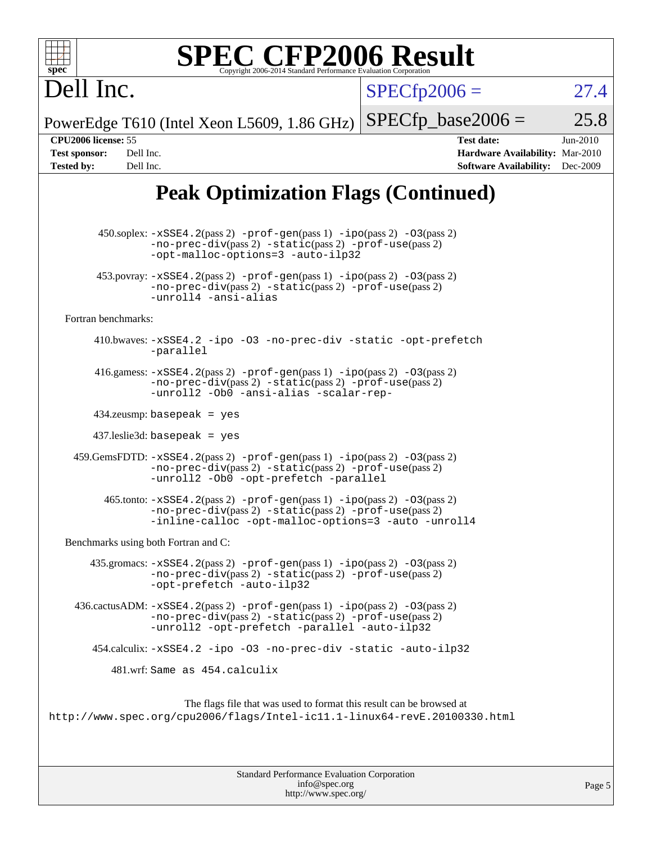| $spec^*$                                                                                   | <b>SPEC CFP2006 Result</b><br>Copyright 2006-2014 Standard Performance Evaluation Corporation                                                                                                                                          |                      |                                                                                       |                        |
|--------------------------------------------------------------------------------------------|----------------------------------------------------------------------------------------------------------------------------------------------------------------------------------------------------------------------------------------|----------------------|---------------------------------------------------------------------------------------|------------------------|
| Dell Inc.                                                                                  |                                                                                                                                                                                                                                        | $SPECfp2006 =$       |                                                                                       | 27.4                   |
|                                                                                            | PowerEdge T610 (Intel Xeon L5609, 1.86 GHz)                                                                                                                                                                                            | $SPECfp\_base2006 =$ |                                                                                       | 25.8                   |
| CPU2006 license: 55<br><b>Test sponsor:</b><br>Dell Inc.<br><b>Tested by:</b><br>Dell Inc. |                                                                                                                                                                                                                                        |                      | <b>Test date:</b><br>Hardware Availability: Mar-2010<br><b>Software Availability:</b> | $Jun-2010$<br>Dec-2009 |
|                                                                                            | <b>Peak Optimization Flags (Continued)</b>                                                                                                                                                                                             |                      |                                                                                       |                        |
|                                                                                            | $450.\text{soplex: } -x\text{SSE4}.2(\text{pass 2}) - \text{prof-gen}(\text{pass 1}) - \text{ipo}(\text{pass 2}) - 03(\text{pass 2})$<br>$-no-prec-div(pass 2) -static(pass 2) -prof-use(pass 2)$<br>-opt-malloc-options=3 -auto-ilp32 |                      |                                                                                       |                        |
|                                                                                            | $453.$ povray: $-xSSE4.2(pass2)$ -prof-gen $(pass1)$ -ipo $(pass2)$ -03 $(pass2)$<br>-no-prec-div(pass 2) -static(pass 2) -prof-use(pass 2)<br>-unroll4 -ansi-alias                                                                    |                      |                                                                                       |                        |
| Fortran benchmarks:                                                                        |                                                                                                                                                                                                                                        |                      |                                                                                       |                        |
|                                                                                            | 410.bwaves: -xSSE4.2 -ipo -03 -no-prec-div -static -opt-prefetch<br>-parallel                                                                                                                                                          |                      |                                                                                       |                        |
|                                                                                            | 416.gamess: $-xSSE4$ . $2(pass 2)$ -prof-gen(pass 1) -ipo(pass 2) -03(pass 2)<br>$-no-prec-div(pass 2) -static(pass 2) -prof-use(pass 2)$<br>-unroll2 -Ob0 -ansi-alias -scalar-rep-                                                    |                      |                                                                                       |                        |
|                                                                                            | $434$ .zeusmp: basepeak = yes                                                                                                                                                                                                          |                      |                                                                                       |                        |
|                                                                                            | $437$ .leslie3d: basepeak = yes                                                                                                                                                                                                        |                      |                                                                                       |                        |
|                                                                                            | 459. GemsFDTD: -xSSE4. 2(pass 2) -prof-gen(pass 1) -ipo(pass 2) -03(pass 2)<br>-no-prec-div(pass 2) -static(pass 2) -prof-use(pass 2)<br>-unroll2 -0b0 -opt-prefetch -parallel                                                         |                      |                                                                                       |                        |
|                                                                                            | 465.tonto: -xSSE4.2(pass 2) -prof-gen(pass 1) -ipo(pass 2) -03(pass 2)<br>-no-prec-div(pass 2) -static(pass 2) -prof-use(pass 2)<br>-inline-calloc -opt-malloc-options=3 -auto -unroll4                                                |                      |                                                                                       |                        |
|                                                                                            | Benchmarks using both Fortran and C:                                                                                                                                                                                                   |                      |                                                                                       |                        |
|                                                                                            | $435$ .gromacs: $-xSSE4$ . $2(pass 2)$ -prof-gen(pass 1) -ipo(pass 2) -03(pass 2)<br>-no-prec-div(pass 2) -static(pass 2) -prof-use(pass 2)<br>-opt-prefetch -auto-ilp32                                                               |                      |                                                                                       |                        |
|                                                                                            | 436.cactusADM: -xSSE4.2(pass 2) -prof-gen(pass 1) -ipo(pass 2) -03(pass 2)<br>$-no-prec-div(pass 2) -static(pass 2) -prot-use(pass 2)$<br>-unroll2 -opt-prefetch -parallel -auto-ilp32                                                 |                      |                                                                                       |                        |
|                                                                                            | 454.calculix: -xSSE4.2 -ipo -03 -no-prec-div -static -auto-ilp32                                                                                                                                                                       |                      |                                                                                       |                        |
|                                                                                            | 481.wrf: Same as 454.calculix                                                                                                                                                                                                          |                      |                                                                                       |                        |
|                                                                                            | The flags file that was used to format this result can be browsed at<br>http://www.spec.org/cpu2006/flags/Intel-icll.1-linux64-revE.20100330.html                                                                                      |                      |                                                                                       |                        |

| <b>Standard Performance Evaluation Corporation</b> |  |
|----------------------------------------------------|--|
| info@spec.org                                      |  |
| http://www.spec.org/                               |  |